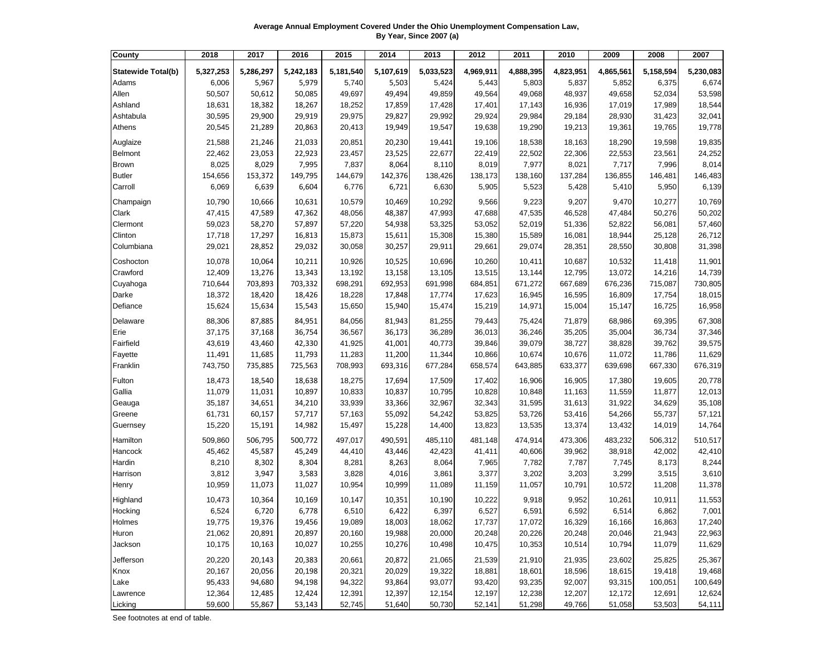**Average Annual Employment Covered Under the Ohio Unemployment Compensation Law, By Year, Since 2007 (a)**

| County                    | 2018      | 2017      | 2016      | 2015      | 2014      | 2013      | 2012      | 2011      | 2010      | 2009      | 2008      | 2007      |
|---------------------------|-----------|-----------|-----------|-----------|-----------|-----------|-----------|-----------|-----------|-----------|-----------|-----------|
| <b>Statewide Total(b)</b> | 5,327,253 | 5,286,297 | 5,242,183 | 5,181,540 | 5,107,619 | 5,033,523 | 4,969,911 | 4,888,395 | 4,823,951 | 4,865,561 | 5,158,594 | 5,230,083 |
| Adams                     | 6,006     | 5,967     | 5,979     | 5,740     | 5,503     | 5,424     | 5,443     | 5,803     | 5,837     | 5,852     | 6,375     | 6,674     |
| Allen                     | 50,507    | 50,612    | 50,085    | 49,697    | 49,494    | 49,859    | 49,564    | 49,068    | 48,937    | 49,658    | 52,034    | 53,598    |
| Ashland                   | 18,631    | 18,382    | 18,267    | 18,252    | 17,859    | 17,428    | 17,401    | 17,143    | 16,936    | 17,019    | 17,989    | 18,544    |
| Ashtabula                 | 30,595    | 29,900    | 29,919    | 29,975    | 29,827    | 29,992    | 29,924    | 29,984    | 29,184    | 28,930    | 31,423    | 32,041    |
| Athens                    | 20,545    | 21,289    | 20,863    | 20,413    | 19,949    | 19,547    | 19,638    | 19,290    | 19,213    | 19,361    | 19,765    | 19,778    |
|                           |           |           |           |           |           |           |           |           |           |           |           |           |
| Auglaize                  | 21,588    | 21,246    | 21,033    | 20,851    | 20,230    | 19,441    | 19,106    | 18,538    | 18,163    | 18,290    | 19,598    | 19,835    |
| Belmont                   | 22,462    | 23,053    | 22,923    | 23,457    | 23,525    | 22,677    | 22,419    | 22,502    | 22,306    | 22,553    | 23,561    | 24,252    |
| <b>Brown</b>              | 8,025     | 8,029     | 7,995     | 7,837     | 8,064     | 8,110     | 8,019     | 7,977     | 8,021     | 7,717     | 7,996     | 8,014     |
| <b>Butler</b>             | 154,656   | 153,372   | 149,795   | 144,679   | 142,376   | 138,426   | 138,173   | 138,160   | 137,284   | 136,855   | 146,481   | 146,483   |
| Carroll                   | 6,069     | 6,639     | 6,604     | 6,776     | 6,721     | 6,630     | 5,905     | 5,523     | 5,428     | 5,410     | 5,950     | 6,139     |
| Champaign                 | 10,790    | 10,666    | 10,631    | 10,579    | 10,469    | 10,292    | 9,566     | 9,223     | 9,207     | 9,470     | 10,277    | 10,769    |
| Clark                     | 47,415    | 47,589    | 47,362    | 48,056    | 48,387    | 47,993    | 47,688    | 47,535    | 46,528    | 47,484    | 50,276    | 50,202    |
| Clermont                  | 59,023    | 58,270    | 57,897    | 57,220    | 54,938    | 53,325    | 53,052    | 52,019    | 51,336    | 52,822    | 56,081    | 57,460    |
| Clinton                   | 17,718    | 17,297    | 16,813    | 15,873    | 15,611    | 15,308    | 15,380    | 15,589    | 16,081    | 18,944    | 25,128    | 26,712    |
| Columbiana                | 29,021    | 28,852    | 29,032    | 30,058    | 30,257    | 29,911    | 29,661    | 29,074    | 28,351    | 28,550    | 30,808    | 31,398    |
| Coshocton                 | 10,078    | 10,064    | 10,211    | 10,926    | 10,525    | 10,696    | 10,260    | 10,411    | 10,687    | 10,532    | 11,418    | 11,901    |
| Crawford                  | 12,409    | 13,276    | 13,343    | 13,192    | 13,158    | 13,105    | 13,515    | 13,144    | 12,795    | 13,072    | 14,216    | 14,739    |
| Cuyahoga                  | 710,644   | 703,893   | 703,332   | 698,291   | 692,953   | 691,998   | 684,851   | 671,272   | 667,689   | 676,236   | 715,087   | 730,805   |
| Darke                     | 18,372    | 18,420    | 18,426    | 18,228    | 17,848    | 17,774    | 17,623    | 16,945    | 16,595    | 16,809    | 17,754    | 18,015    |
| Defiance                  | 15,624    | 15,634    | 15,543    | 15,650    | 15,940    | 15,474    | 15,219    | 14,971    | 15,004    | 15,147    | 16,725    | 16,958    |
| Delaware                  | 88,306    | 87,885    | 84,951    | 84,056    | 81,943    | 81,255    | 79,443    | 75,424    | 71,879    | 68,986    | 69,395    | 67,308    |
| Erie                      | 37,175    | 37,168    | 36,754    | 36,567    | 36,173    | 36,289    | 36,013    | 36,246    | 35,205    | 35,004    | 36,734    | 37,346    |
| Fairfield                 | 43,619    | 43,460    | 42,330    | 41,925    | 41,001    | 40,773    | 39,846    | 39,079    | 38,727    | 38,828    | 39,762    | 39,575    |
| Fayette                   | 11,491    | 11,685    | 11,793    | 11,283    | 11,200    | 11,344    | 10,866    | 10,674    | 10,676    | 11,072    | 11,786    | 11,629    |
| Franklin                  | 743,750   | 735,885   | 725,563   | 708,993   | 693,316   | 677,284   | 658,574   | 643,885   | 633,377   | 639,698   | 667,330   | 676,319   |
| Fulton                    | 18,473    | 18,540    | 18,638    | 18,275    | 17,694    | 17,509    | 17,402    | 16,906    | 16,905    | 17,380    | 19,605    | 20,778    |
| Gallia                    | 11,079    | 11,031    | 10,897    | 10,833    | 10,837    | 10,795    | 10,828    | 10,848    | 11,163    | 11,559    | 11,877    | 12,013    |
| Geauga                    | 35,187    | 34,651    | 34,210    | 33,939    | 33,366    | 32,967    | 32,343    | 31,595    | 31,613    | 31,922    | 34,629    | 35,108    |
| Greene                    | 61,731    | 60,157    | 57,717    | 57,163    | 55,092    | 54,242    | 53,825    | 53,726    | 53,416    | 54,266    | 55,737    | 57,121    |
| Guernsey                  | 15,220    | 15,191    | 14,982    | 15,497    | 15,228    | 14,400    | 13,823    | 13,535    | 13,374    | 13,432    | 14,019    | 14,764    |
| Hamilton                  | 509,860   | 506,795   | 500,772   | 497,017   | 490,591   | 485,110   | 481,148   | 474,914   | 473,306   | 483,232   | 506,312   | 510,517   |
| Hancock                   | 45,462    | 45,587    | 45,249    | 44,410    | 43,446    | 42,423    | 41,411    | 40,606    | 39,962    | 38,918    | 42,002    | 42,410    |
| Hardin                    | 8,210     | 8,302     | 8,304     | 8,281     | 8,263     | 8,064     | 7,965     | 7,782     | 7,787     | 7,745     | 8,173     | 8,244     |
| Harrison                  | 3,812     | 3,947     | 3,583     | 3,828     | 4,016     | 3,861     | 3,377     | 3,202     | 3,203     | 3,299     | 3,515     | 3,610     |
| Henry                     | 10,959    | 11,073    | 11,027    | 10,954    | 10,999    | 11,089    | 11,159    | 11,057    | 10,791    | 10,572    | 11,208    | 11,378    |
| Highland                  | 10,473    | 10,364    | 10,169    | 10,147    | 10,351    | 10,190    | 10,222    | 9,918     | 9,952     | 10,261    | 10,911    | 11,553    |
| Hocking                   | 6,524     | 6,720     | 6,778     | 6,510     | 6,422     | 6,397     | 6,527     | 6,591     | 6,592     | 6,514     | 6,862     | 7,001     |
| Holmes                    | 19,775    | 19,376    | 19,456    | 19,089    | 18,003    | 18,062    | 17,737    | 17,072    | 16,329    | 16,166    | 16,863    | 17,240    |
| Huron                     | 21,062    | 20,891    | 20,897    | 20,160    | 19,988    | 20,000    | 20,248    | 20,226    | 20,248    | 20,046    | 21,943    | 22,963    |
| Jackson                   | 10,175    | 10,163    | 10,027    | 10,255    | 10,276    | 10,498    | 10,475    | 10,353    | 10,514    | 10,794    | 11,079    | 11,629    |
| Jefferson                 | 20,220    | 20,143    | 20,383    | 20,661    | 20,872    | 21,065    | 21,539    | 21,910    | 21,935    | 23,602    | 25,825    | 25,367    |
| Knox                      | 20,167    | 20,056    | 20,198    | 20,321    | 20,029    | 19,322    | 18,881    | 18,601    | 18,596    | 18,615    | 19,418    | 19,468    |
| Lake                      | 95,433    | 94,680    | 94,198    | 94,322    | 93,864    | 93,077    | 93,420    | 93,235    | 92,007    | 93,315    | 100,051   | 100,649   |
| Lawrence                  | 12,364    | 12,485    | 12,424    | 12,391    | 12,397    | 12,154    | 12,197    | 12,238    | 12,207    | 12,172    | 12,691    | 12,624    |
| Licking                   | 59,600    | 55,867    | 53,143    | 52,745    | 51,640    | 50,730    | 52,141    | 51,298    | 49,766    | 51,058    | 53,503    | 54,111    |

See footnotes at end of table.